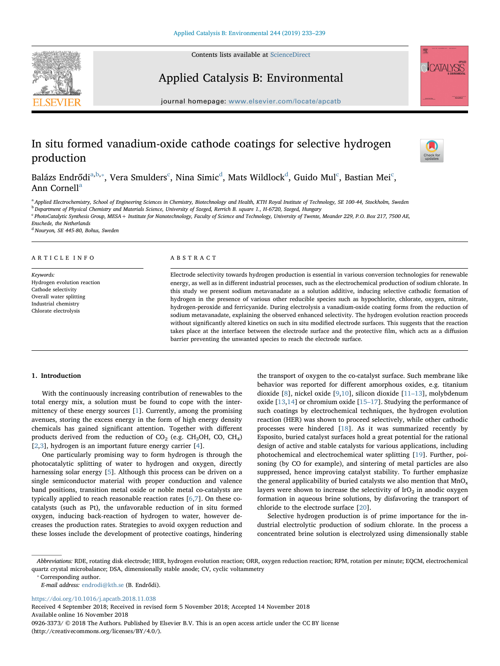Contents lists available at [ScienceDirect](http://www.sciencedirect.com/science/journal/09263373)



## Applied Catalysis B: Environmental



journal homepage: [www.elsevier.com/locate/apcatb](https://www.elsevier.com/locate/apcatb)

# In situ formed vanadium-oxide cathode coatings for selective hydrogen production



Balázs En[d](#page-0-4)rődi $\rm^{a,b,*}$  $\rm^{a,b,*}$  $\rm^{a,b,*}$  $\rm^{a,b,*}$ , Vera Smulders $\rm^c$  $\rm^c$ , Nina Simi $\rm c^d$ , Mats Wildlock $\rm^d$ , Guido Mul $\rm^c$ , Bastian Mei $\rm^c$ , Ann Cornell<sup>[a](#page-0-0)</sup>

<span id="page-0-1"></span><span id="page-0-0"></span><sup>a</sup> Applied Electrochemistry, School of Engineering Sciences in Chemistry, Biotechnology and Health, KTH Royal Institute of Technology, SE 100-44, Stockholm, Sweden <sup>b</sup> Department of Physical Chemistry and Materials Science, University of Szeged, Rerrich B. square 1., H-6720, Szeged, Hungary

<span id="page-0-3"></span><sup>c</sup> PhotoCatalytic Synthesis Group, MESA+ Institute for Nanotechnology, Faculty of Science and Technology, University of Twente, Meander 229, P.O. Box 217, 7500 AE,

Enschede, the Netherlands

<span id="page-0-4"></span><sup>d</sup> Nouryon, SE 445-80, Bohus, Sweden

## ARTICLE INFO

Keywords: Hydrogen evolution reaction Cathode selectivity Overall water splitting Industrial chemistry Chlorate electrolysis

## ABSTRACT

Electrode selectivity towards hydrogen production is essential in various conversion technologies for renewable energy, as well as in different industrial processes, such as the electrochemical production of sodium chlorate. In this study we present sodium metavanadate as a solution additive, inducing selective cathodic formation of hydrogen in the presence of various other reducible species such as hypochlorite, chlorate, oxygen, nitrate, hydrogen-peroxide and ferricyanide. During electrolysis a vanadium-oxide coating forms from the reduction of sodium metavanadate, explaining the observed enhanced selectivity. The hydrogen evolution reaction proceeds without significantly altered kinetics on such in situ modified electrode surfaces. This suggests that the reaction takes place at the interface between the electrode surface and the protective film, which acts as a diffusion barrier preventing the unwanted species to reach the electrode surface.

## 1. Introduction

With the continuously increasing contribution of renewables to the total energy mix, a solution must be found to cope with the intermittency of these energy sources [\[1\]](#page-5-0). Currently, among the promising avenues, storing the excess energy in the form of high energy density chemicals has gained significant attention. Together with different products derived from the reduction of  $CO<sub>2</sub>$  (e.g. CH<sub>3</sub>OH, CO, CH<sub>4</sub>) [[2](#page-5-1),[3](#page-5-2)], hydrogen is an important future energy carrier [[4](#page-5-3)].

One particularly promising way to form hydrogen is through the photocatalytic splitting of water to hydrogen and oxygen, directly harnessing solar energy [\[5\]](#page-5-4). Although this process can be driven on a single semiconductor material with proper conduction and valence band positions, transition metal oxide or noble metal co-catalysts are typically applied to reach reasonable reaction rates [\[6,](#page-5-5)[7](#page-5-6)]. On these cocatalysts (such as Pt), the unfavorable reduction of in situ formed oxygen, inducing back-reaction of hydrogen to water, however decreases the production rates. Strategies to avoid oxygen reduction and these losses include the development of protective coatings, hindering the transport of oxygen to the co-catalyst surface. Such membrane like behavior was reported for different amorphous oxides, e.g. titanium dioxide [[8](#page-5-7)], nickel oxide [[9,](#page-5-8)[10\]](#page-5-9), silicon dioxide [\[11](#page-5-10)–13], molybdenum oxide [\[13](#page-5-11)[,14](#page-5-12)] or chromium oxide [15–[17\]](#page-5-13). Studying the performance of such coatings by electrochemical techniques, the hydrogen evolution reaction (HER) was shown to proceed selectively, while other cathodic processes were hindered [\[18](#page-5-14)]. As it was summarized recently by Esposito, buried catalyst surfaces hold a great potential for the rational design of active and stable catalysts for various applications, including photochemical and electrochemical water splitting [[19\]](#page-6-0). Further, poisoning (by CO for example), and sintering of metal particles are also suppressed, hence improving catalyst stability. To further emphasize the general applicability of buried catalysts we also mention that  $MnO<sub>x</sub>$ layers were shown to increase the selectivity of  $IrO<sub>2</sub>$  in anodic oxygen formation in aqueous brine solutions, by disfavoring the transport of chloride to the electrode surface [[20\]](#page-6-1).

Selective hydrogen production is of prime importance for the industrial electrolytic production of sodium chlorate. In the process a concentrated brine solution is electrolyzed using dimensionally stable

<span id="page-0-2"></span>⁎ Corresponding author.

E-mail address: [endrodi@kth.se](mailto:endrodi@kth.se) (B. Endrődi).

<https://doi.org/10.1016/j.apcatb.2018.11.038>

Received 4 September 2018; Received in revised form 5 November 2018; Accepted 14 November 2018 Available online 16 November 2018 0926-3373/ © 2018 The Authors. Published by Elsevier B.V. This is an open access article under the CC BY license (http://creativecommons.org/licenses/BY/4.0/).

Abbreviations: RDE, rotating disk electrode; HER, hydrogen evolution reaction; ORR, oxygen reduction reaction; RPM, rotation per minute; EQCM, electrochemical quartz crystal microbalance; DSA, dimensionally stable anode; CV, cyclic voltammetry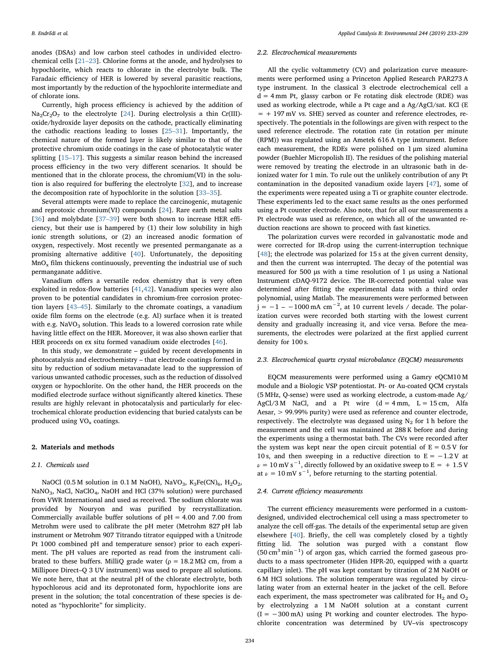anodes (DSAs) and low carbon steel cathodes in undivided electrochemical cells [21–[23\]](#page-6-2). Chlorine forms at the anode, and hydrolyses to hypochlorite, which reacts to chlorate in the electrolyte bulk. The Faradaic efficiency of HER is lowered by several parasitic reactions, most importantly by the reduction of the hypochlorite intermediate and of chlorate ions.

Currently, high process efficiency is achieved by the addition of  $Na<sub>2</sub>Cr<sub>2</sub>O<sub>7</sub>$  to the electrolyte [[24\]](#page-6-3). During electrolysis a thin Cr(III)oxide/hydroxide layer deposits on the cathode, practically eliminating the cathodic reactions leading to losses [\[25](#page-6-4)–31]. Importantly, the chemical nature of the formed layer is likely similar to that of the protective chromium oxide coatings in the case of photocatalytic water splitting [15–[17\]](#page-5-13). This suggests a similar reason behind the increased process efficiency in the two very different scenarios. It should be mentioned that in the chlorate process, the chromium(VI) in the solution is also required for buffering the electrolyte [[32\]](#page-6-5), and to increase the decomposition rate of hypochlorite in the solution [33–[35\]](#page-6-6).

Several attempts were made to replace the carcinogenic, mutagenic and reprotoxic chromium(VI) compounds [\[24](#page-6-3)]. Rare earth metal salts [[36\]](#page-6-7) and molybdate [\[37](#page-6-8)–39] were both shown to increase HER efficiency, but their use is hampered by (1) their low solubility in high ionic strength solutions, or (2) an increased anodic formation of oxygen, respectively. Most recently we presented permanganate as a promising alternative additive [[40\]](#page-6-9). Unfortunately, the depositing  $MnO<sub>x</sub>$  film thickens continuously, preventing the industrial use of such permanganate additive.

Vanadium offers a versatile redox chemistry that is very often exploited in redox-flow batteries [[41](#page-6-10)[,42](#page-6-11)]. Vanadium species were also proven to be potential candidates in chromium-free corrosion protection layers [43–[45\]](#page-6-12). Similarly to the chromate coatings, a vanadium oxide film forms on the electrode (e.g. Al) surface when it is treated with e.g.  $NaVO<sub>3</sub>$  solution. This leads to a lowered corrosion rate while having little effect on the HER. Moreover, it was also shown earlier that HER proceeds on ex situ formed vanadium oxide electrodes [[46](#page-6-13)].

In this study, we demonstrate – guided by recent developments in photocatalysis and electrochemistry – that electrode coatings formed in situ by reduction of sodium metavanadate lead to the suppression of various unwanted cathodic processes, such as the reduction of dissolved oxygen or hypochlorite. On the other hand, the HER proceeds on the modified electrode surface without significantly altered kinetics. These results are highly relevant in photocatalysis and particularly for electrochemical chlorate production evidencing that buried catalysts can be produced using  $VO<sub>x</sub>$  coatings.

#### 2. Materials and methods

#### 2.1. Chemicals used

NaOCl (0.5 M solution in 0.1 M NaOH), NaVO<sub>3</sub>, K<sub>3</sub>Fe(CN)<sub>6</sub>, H<sub>2</sub>O<sub>2</sub>, NaNO<sub>3</sub>, NaCl, NaClO<sub>4</sub>, NaOH and HCl (37% solution) were purchased from VWR International and used as received. The sodium chlorate was provided by Nouryon and was purified by recrystallization. Commercially available buffer solutions of  $pH = 4.00$  and 7.00 from Metrohm were used to calibrate the pH meter (Metrohm 827 pH lab instrument or Metrohm 907 Titrando titrator equipped with a Unitrode Pt 1000 combined pH and temperature sensor) prior to each experiment. The pH values are reported as read from the instrument calibrated to these buffers. MilliQ grade water ( $\rho = 18.2 \text{ M}\Omega$  cm, from a Millipore Direct–Q 3 UV instrument) was used to prepare all solutions. We note here, that at the neutral pH of the chlorate electrolyte, both hypochlorous acid and its deprotonated form, hypochlorite ions are present in the solution; the total concentration of these species is denoted as "hypochlorite" for simplicity.

#### 2.2. Electrochemical measurements

All the cyclic voltammetry (CV) and polarization curve measurements were performed using a Princeton Applied Research PAR273 A type instrument. In the classical 3 electrode electrochemical cell a  $d = 4$  mm Pt, glassy carbon or Fe rotating disk electrode (RDE) was used as working electrode, while a Pt cage and a Ag/AgCl/sat. KCl (E  $= + 197$  mV vs. SHE) served as counter and reference electrodes, respectively. The potentials in the followings are given with respect to the used reference electrode. The rotation rate (in rotation per minute (RPM)) was regulated using an Ametek 616 A type instrument. Before each measurement, the RDEs were polished on 1 μm sized alumina powder (Buehler Micropolish II). The residues of the polishing material were removed by treating the electrode in an ultrasonic bath in deionized water for 1 min. To rule out the unlikely contribution of any Pt contamination in the deposited vanadium oxide layers [\[47](#page-6-14)], some of the experiments were repeated using a Ti or graphite counter electrode. These experiments led to the exact same results as the ones performed using a Pt counter electrode. Also note, that for all our measurements a Pt electrode was used as reference, on which all of the unwanted reduction reactions are shown to proceed with fast kinetics.

The polarization curves were recorded in galvanostatic mode and were corrected for IR-drop using the current-interruption technique [[48\]](#page-6-15); the electrode was polarized for 15 s at the given current density, and then the current was interrupted. The decay of the potential was measured for 500 μs with a time resolution of 1 μs using a National Instrument cDAQ-9172 device. The IR-corrected potential value was determined after fitting the experimental data with a third order polynomial, using Matlab. The measurements were performed between  $j = -1 - 1000 \text{ mA cm}^{-2}$ , at 10 current levels / decade. The polarization curves were recorded both starting with the lowest current density and gradually increasing it, and vice versa. Before the measurements, the electrodes were polarized at the first applied current density for 100 s.

## 2.3. Electrochemical quartz crystal microbalance (EQCM) measurements

EQCM measurements were performed using a Gamry eQCM10 M module and a Biologic VSP potentiostat. Pt- or Au-coated QCM crystals (5 MHz, Q-sense) were used as working electrode, a custom-made Ag/ AgCl/3 M NaCl, and a Pt wire  $(d = 4$  mm,  $L = 15$  cm, Alfa Aesar, > 99.99% purity) were used as reference and counter electrode, respectively. The electrolyte was degassed using  $N_2$  for 1 h before the measurement and the cell was maintained at 288 K before and during the experiments using a thermostat bath. The CVs were recorded after the system was kept near the open circuit potential of  $E = 0.5 V$  for 10 s, and then sweeping in a reductive direction to  $E = -1.2 V$  at  $\nu = 10 \text{ mV s}^{-1}$ , directly followed by an oxidative sweep to E = + 1.5 V at  $\nu = 10 \text{ mV s}^{-1}$ , before returning to the starting potential.

## 2.4. Current efficiency measurements

The current efficiency measurements were performed in a customdesigned, undivided electrochemical cell using a mass spectrometer to analyze the cell off-gas. The details of the experimental setup are given elsewhere [[40\]](#page-6-9). Briefly, the cell was completely closed by a tightly fitting lid. The solution was purged with a constant flow (50 cm<sup>3</sup> min−<sup>1</sup> ) of argon gas, which carried the formed gaseous products to a mass spectrometer (Hiden HPR-20, equipped with a quartz capillary inlet). The pH was kept constant by titration of 2 M NaOH or 6 M HCl solutions. The solution temperature was regulated by circulating water from an external heater in the jacket of the cell. Before each experiment, the mass spectrometer was calibrated for  $H_2$  and  $O_2$ by electrolyzing a 1 M NaOH solution at a constant current  $(I = -300 \text{ mA})$  using Pt working and counter electrodes. The hypochlorite concentration was determined by UV–vis spectroscopy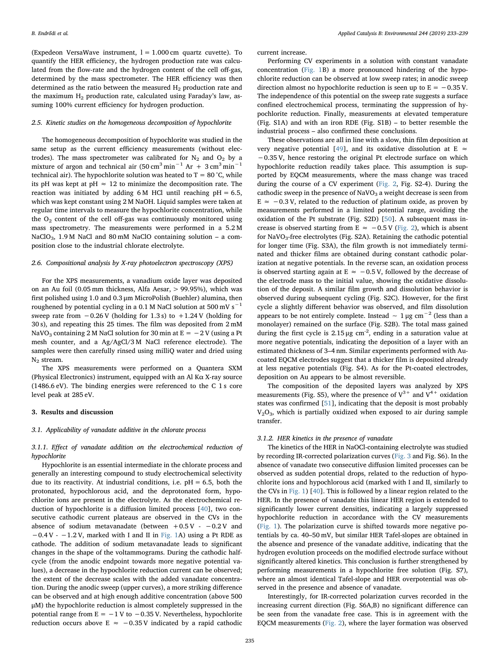(Expedeon VersaWave instrument,  $l = 1.000$  cm quartz cuvette). To quantify the HER efficiency, the hydrogen production rate was calculated from the flow-rate and the hydrogen content of the cell off-gas, determined by the mass spectrometer. The HER efficiency was then determined as the ratio between the measured  $H_2$  production rate and the maximum  $H_2$  production rate, calculated using Faraday's law, assuming 100% current efficiency for hydrogen production.

## 2.5. Kinetic studies on the homogeneous decomposition of hypochlorite

The homogeneous decomposition of hypochlorite was studied in the same setup as the current efficiency measurements (without electrodes). The mass spectrometer was calibrated for  $N_2$  and  $O_2$  by a mixture of argon and technical air  $(50 \text{ cm}^3 \text{ min}^{-1} \text{ Ar } + 3 \text{ cm}^3 \text{ min}^{-1}$ technical air). The hypochlorite solution was heated to  $T = 80^{\circ}$ C, while its pH was kept at pH  $\approx$  12 to minimize the decomposition rate. The reaction was initiated by adding  $6 \text{M}$  HCl until reaching  $pH = 6.5$ , which was kept constant using 2 M NaOH. Liquid samples were taken at regular time intervals to measure the hypochlorite concentration, while the  $O<sub>2</sub>$  content of the cell off-gas was continuously monitored using mass spectrometry. The measurements were performed in a 5.2 M NaClO<sub>3</sub>, 1.9 M NaCl and 80 mM NaClO containing solution – a composition close to the industrial chlorate electrolyte.

## 2.6. Compositional analysis by X-ray photoelectron spectroscopy (XPS)

For the XPS measurements, a vanadium oxide layer was deposited on an Au foil (0.05 mm thickness, Alfa Aesar, > 99.95%), which was first polished using 1.0 and 0.3 μm MicroPolish (Buehler) alumina, then roughened by potential cycling in a 0.1 M NaCl solution at 500 mV s<sup> $-1$ </sup> sweep rate from −0.26 V (holding for 1.3 s) to +1.24 V (holding for 30 s), and repeating this 25 times. The film was deposited from 2 mM NaVO<sub>3</sub> containing 2 M NaCl solution for 30 min at  $E = -2V$  (using a Pt mesh counter, and a Ag/AgCl/3 M NaCl reference electrode). The samples were then carefully rinsed using milliQ water and dried using  $N_2$  stream.

The XPS measurements were performed on a Quantera SXM (Physical Electronics) instrument, equipped with an Al Kα X-ray source (1486.6 eV). The binding energies were referenced to the C 1 s core level peak at 285 eV.

#### 3. Results and discussion

## 3.1. Applicability of vanadate additive in the chlorate process

3.1.1. Effect of vanadate addition on the electrochemical reduction of hypochlorite

Hypochlorite is an essential intermediate in the chlorate process and generally an interesting compound to study electrochemical selectivity due to its reactivity. At industrial conditions, i.e.  $pH = 6.5$ , both the protonated, hypochlorous acid, and the deprotonated form, hypochlorite ions are present in the electrolyte. As the electrochemical reduction of hypochlorite is a diffusion limited process [[40\]](#page-6-9), two consecutive cathodic current plateaus are observed in the CVs in the absence of sodium metavanadate (between  $+0.5$  V -  $-0.2$  V and  $-0.4$  V -  $-1.2$  V, marked with I and II in [Fig. 1A](#page-3-0)) using a Pt RDE as cathode. The addition of sodium metavanadate leads to significant changes in the shape of the voltammograms. During the cathodic halfcycle (from the anodic endpoint towards more negative potential values), a decrease in the hypochlorite reduction current can be observed; the extent of the decrease scales with the added vanadate concentration. During the anodic sweep (upper curves), a more striking difference can be observed and at high enough additive concentration (above 500 μM) the hypochlorite reduction is almost completely suppressed in the potential range from  $E = -1$  V to  $-0.35$  V. Nevertheless, hypochlorite reduction occurs above E  $≈ -0.35$  V indicated by a rapid cathodic

current increase.

Performing CV experiments in a solution with constant vanadate concentration [\(Fig. 1](#page-3-0)B) a more pronounced hindering of the hypochlorite reduction can be observed at low sweep rates; in anodic sweep direction almost no hypochlorite reduction is seen up to  $E = -0.35$  V. The independence of this potential on the sweep rate suggests a surface confined electrochemical process, terminating the suppression of hypochlorite reduction. Finally, measurements at elevated temperature (Fig. S1A) and with an iron RDE (Fig. S1B) – to better resemble the industrial process – also confirmed these conclusions.

These observations are all in line with a slow, thin film deposition at very negative potential [\[49](#page-6-16)], and its oxidative dissolution at  $E \approx$ −0.35 V, hence restoring the original Pt electrode surface on which hypochlorite reduction readily takes place. This assumption is supported by EQCM measurements, where the mass change was traced during the course of a CV experiment [\(Fig. 2](#page-3-1), Fig. S2-4). During the cathodic sweep in the presence of  $NaVO<sub>3</sub>$  a weight decrease is seen from  $E \approx -0.3 V$ , related to the reduction of platinum oxide, as proven by measurements performed in a limited potential range, avoiding the oxidation of the Pt substrate (Fig. S2D) [[50\]](#page-6-17). A subsequent mass increase is observed starting from E  $\approx -0.5$  V ([Fig. 2](#page-3-1)), which is absent for  $\text{NaVO}_3$ -free electrolytes (Fig. S2A). Retaining the cathodic potential for longer time (Fig. S3A), the film growth is not immediately terminated and thicker films are obtained during constant cathodic polarization at negative potentials. In the reverse scan, an oxidation process is observed starting again at E  $\approx$  -0.5 V, followed by the decrease of the electrode mass to the initial value, showing the oxidative dissolution of the deposit. A similar film growth and dissolution behavior is observed during subsequent cycling (Fig. S2C). However, for the first cycle a slightly different behavior was observed, and film dissolution appears to be not entirely complete. Instead  $\sim 1 \mu$ g cm<sup>-2</sup> (less than a monolayer) remained on the surface (Fig. S2B). The total mass gained during the first cycle is  $2.15 \mu g$  cm<sup>-2</sup>, ending in a saturation value at more negative potentials, indicating the deposition of a layer with an estimated thickness of 3–4 nm. Similar experiments performed with Aucoated EQCM electrodes suggest that a thicker film is deposited already at less negative potentials (Fig. S4). As for the Pt-coated electrodes, deposition on Au appears to be almost reversible.

The composition of the deposited layers was analyzed by XPS measurements (Fig. S5), where the presence of  $V^{3+}$  and  $V^{4+}$  oxidation states was confirmed [\[51](#page-6-18)], indicating that the deposit is most probably  $V_2O_3$ , which is partially oxidized when exposed to air during sample transfer.

#### 3.1.2. HER kinetics in the presence of vanadate

The kinetics of the HER in NaOCl-containing electrolyte was studied by recording IR-corrected polarization curves [\(Fig. 3](#page-3-2) and Fig. S6). In the absence of vanadate two consecutive diffusion limited processes can be observed as sudden potential drops, related to the reduction of hypochlorite ions and hypochlorous acid (marked with I and II, similarly to the CVs in [Fig. 1](#page-3-0)) [[40\]](#page-6-9). This is followed by a linear region related to the HER. In the presence of vanadate this linear HER region is extended to significantly lower current densities, indicating a largely suppressed hypochlorite reduction in accordance with the CV measurements ([Fig. 1\)](#page-3-0). The polarization curve is shifted towards more negative potentials by ca. 40–50 mV, but similar HER Tafel-slopes are obtained in the absence and presence of the vanadate additive, indicating that the hydrogen evolution proceeds on the modified electrode surface without significantly altered kinetics. This conclusion is further strengthened by performing measurements in a hypochlorite free solution (Fig. S7), where an almost identical Tafel-slope and HER overpotential was observed in the presence and absence of vanadate.

Interestingly, for IR-corrected polarization curves recorded in the increasing current direction (Fig. S6A,B) no significant difference can be seen from the vanadate free case. This is in agreement with the EQCM measurements [\(Fig. 2\)](#page-3-1), where the layer formation was observed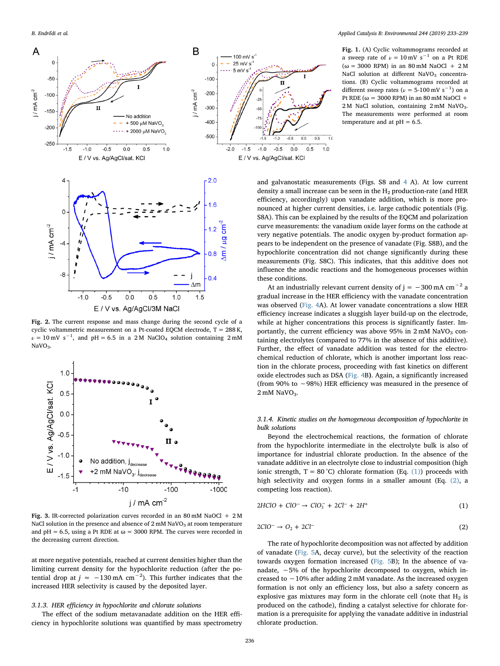B. Endrődi et al. *Applied Catalysis B: Environmental 244 (2019) 233–239*

<span id="page-3-0"></span>

a sweep rate of  $\nu = 10$  mV s<sup>-1</sup> on a Pt RDE  $(ω = 3000$  RPM) in an 80 mM NaOCl + 2 M NaCl solution at different NaVO<sub>3</sub> concentrations. (B) Cyclic voltammograms recorded at different sweep rates ( $\nu$  = 5-100 mV s<sup>-1</sup>) on a Pt RDE ( $\omega$  = 3000 RPM) in an 80 mM NaOCl + 2 M NaCl solution, containing 2 mM NaVO<sub>3</sub>. The measurements were performed at room temperature and at  $pH = 6.5$ .

and galvanostatic measurements (Figs. S8 and [4](#page-4-0) A). At low current density a small increase can be seen in the  $H<sub>2</sub>$  production-rate (and HER efficiency, accordingly) upon vanadate addition, which is more pronounced at higher current densities, i.e. large cathodic potentials (Fig. S8A). This can be explained by the results of the EQCM and polarization curve measurements: the vanadium oxide layer forms on the cathode at very negative potentials. The anodic oxygen by-product formation appears to be independent on the presence of vanadate (Fig. S8B), and the hypochlorite concentration did not change significantly during these measurements (Fig. S8C). This indicates, that this additive does not influence the anodic reactions and the homogeneous processes within these conditions.

<span id="page-3-1"></span>Fig. 2. The current response and mass change during the second cycle of a cyclic voltammetric measurement on a Pt-coated EQCM electrode, T = 288 K,  $\nu = 10 \text{ mV s}^{-1}$ , and pH = 6.5 in a 2M NaClO<sub>4</sub> solution containing 2mM  $NaVO<sub>3</sub>$ .

<span id="page-3-2"></span>

Fig. 3. IR-corrected polarization curves recorded in an 80 mM NaOCl + 2 M NaCl solution in the presence and absence of  $2 \text{ mM NaVO}_3$  at room temperature and pH = 6.5, using a Pt RDE at  $\omega$  = 3000 RPM. The curves were recorded in the decreasing current direction.

at more negative potentials, reached at current densities higher than the limiting current density for the hypochlorite reduction (after the potential drop at  $j \approx -130 \text{ mA cm}^{-2}$ ). This further indicates that the increased HER selectivity is caused by the deposited layer.

## 3.1.3. HER efficiency in hypochlorite and chlorate solutions

The effect of the sodium metavanadate addition on the HER efficiency in hypochlorite solutions was quantified by mass spectrometry

At an industrially relevant current density of j =  $-300$  mA cm<sup>-2</sup> a gradual increase in the HER efficiency with the vanadate concentration was observed [\(Fig. 4](#page-4-0)A). At lower vanadate concentrations a slow HER efficiency increase indicates a sluggish layer build-up on the electrode, while at higher concentrations this process is significantly faster. Importantly, the current efficiency was above 95% in  $2 \text{ mM }$  NaVO<sub>3</sub> containing electrolytes (compared to 77% in the absence of this additive). Further, the effect of vanadate addition was tested for the electrochemical reduction of chlorate, which is another important loss reaction in the chlorate process, proceeding with fast kinetics on different oxide electrodes such as DSA ([Fig. 4B](#page-4-0)). Again, a significantly increased (from 90% to ∼98%) HER efficiency was measured in the presence of  $2 \text{ mM }$  NaVO<sub>3</sub>.

## 3.1.4. Kinetic studies on the homogeneous decomposition of hypochlorite in bulk solutions

Beyond the electrochemical reactions, the formation of chlorate from the hypochlorite intermediate in the electrolyte bulk is also of importance for industrial chlorate production. In the absence of the vanadate additive in an electrolyte close to industrial composition (high ionic strength,  $T = 80^{\circ}$ C) chlorate formation (Eq. [\(1\)\)](#page-3-3) proceeds with high selectivity and oxygen forms in a smaller amount (Eq. [\(2\)](#page-3-4), a competing loss reaction).

<span id="page-3-3"></span>
$$
2HClO + ClO^{-} \to ClO_{3}^{-} + 2Cl^{-} + 2H^{+}
$$
\n(1)

<span id="page-3-4"></span>
$$
2ClO^{-} \rightarrow O_{2} + 2Cl^{-} \tag{2}
$$

The rate of hypochlorite decomposition was not affected by addition of vanadate ([Fig. 5](#page-4-1)A, decay curve), but the selectivity of the reaction towards oxygen formation increased [\(Fig. 5](#page-4-1)B); In the absence of vanadate, ∼5% of the hypochlorite decomposed to oxygen, which increased to ∼10% after adding 2 mM vanadate. As the increased oxygen formation is not only an efficiency loss, but also a safety concern as explosive gas mixtures may form in the chlorate cell (note that  $H_2$  is produced on the cathode), finding a catalyst selective for chlorate formation is a prerequisite for applying the vanadate additive in industrial chlorate production.

 $100 \text{ mV s}$ 

 $-1.5$  $-1.0$  $-0.5$  $0.0$  $0.5$  $1.0$ 

T

 $7.0$ 

 $\overline{\mathbf{u}}$ 

 $-0.5$  $0.0$  $0.5$ 

E / V vs. Ag/AgCl/sat. KCl

 $25 \text{ mV s}$  $5 \text{ mV s}$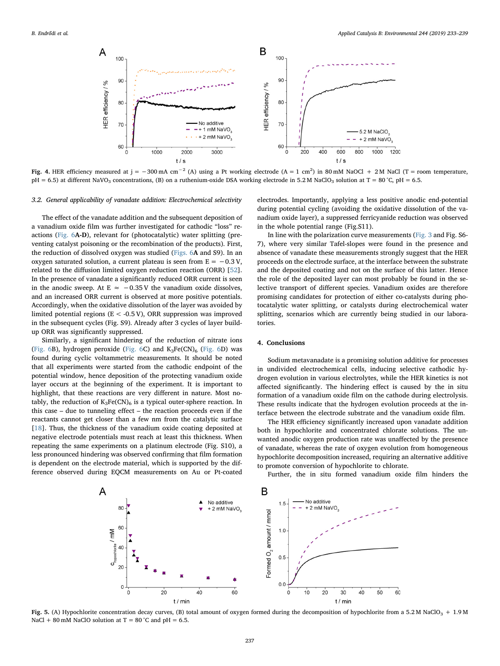<span id="page-4-0"></span>

Fig. 4. HER efficiency measured at j = −300 mA cm<sup>-2</sup> (A) using a Pt working electrode (A = 1 cm<sup>2</sup>) in 80 mM NaOCl + 2 M NaCl (T = room temperature,  $pH = 6.5$ ) at different NaVO<sub>3</sub> concentrations, (B) on a ruthenium-oxide DSA working electrode in 5.2 M NaClO<sub>3</sub> solution at T = 80 °C,  $pH = 6.5$ .

## 3.2. General applicability of vanadate addition: Electrochemical selectivity

The effect of the vanadate addition and the subsequent deposition of a vanadium oxide film was further investigated for cathodic "loss" reactions ([Fig. 6](#page-5-15)A-D), relevant for (photocatalytic) water splitting (preventing catalyst poisoning or the recombination of the products). First, the reduction of dissolved oxygen was studied [\(Figs. 6](#page-5-15)A and S9). In an oxygen saturated solution, a current plateau is seen from  $E = -0.3 V$ , related to the diffusion limited oxygen reduction reaction (ORR) [\[52](#page-6-19)]. In the presence of vanadate a significantly reduced ORR current is seen in the anodic sweep. At E  $≈ -0.35$  V the vanadium oxide dissolves, and an increased ORR current is observed at more positive potentials. Accordingly, when the oxidative dissolution of the layer was avoided by limited potential regions ( $E < -0.5$  V), ORR suppression was improved in the subsequent cycles (Fig. S9). Already after 3 cycles of layer buildup ORR was significantly suppressed.

Similarly, a significant hindering of the reduction of nitrate ions ([Fig. 6B](#page-5-15)), hydrogen peroxide [\(Fig. 6C](#page-5-15)) and  $K_3Fe(CN)_6$  ([Fig. 6](#page-5-15)D) was found during cyclic voltammetric measurements. It should be noted that all experiments were started from the cathodic endpoint of the potential window, hence deposition of the protecting vanadium oxide layer occurs at the beginning of the experiment. It is important to highlight, that these reactions are very different in nature. Most notably, the reduction of  $K_3Fe(CN)_6$  is a typical outer-sphere reaction. In this case – due to tunneling effect – the reaction proceeds even if the reactants cannot get closer than a few nm from the catalytic surface [[18\]](#page-5-14). Thus, the thickness of the vanadium oxide coating deposited at negative electrode potentials must reach at least this thickness. When repeating the same experiments on a platinum electrode (Fig. S10), a less pronounced hindering was observed confirming that film formation is dependent on the electrode material, which is supported by the difference observed during EQCM measurements on Au or Pt-coated

electrodes. Importantly, applying a less positive anodic end-potential during potential cycling (avoiding the oxidative dissolution of the vanadium oxide layer), a suppressed ferricyanide reduction was observed in the whole potential range (Fig.S11).

In line with the polarization curve measurements [\(Fig. 3](#page-3-2) and Fig. S6- 7), where very similar Tafel-slopes were found in the presence and absence of vanadate these measurements strongly suggest that the HER proceeds on the electrode surface, at the interface between the substrate and the deposited coating and not on the surface of this latter. Hence the role of the deposited layer can most probably be found in the selective transport of different species. Vanadium oxides are therefore promising candidates for protection of either co-catalysts during photocatalytic water splitting, or catalysts during electrochemical water splitting, scenarios which are currently being studied in our laboratories.

## 4. Conclusions

Sodium metavanadate is a promising solution additive for processes in undivided electrochemical cells, inducing selective cathodic hydrogen evolution in various electrolytes, while the HER kinetics is not affected significantly. The hindering effect is caused by the in situ formation of a vanadium oxide film on the cathode during electrolysis. These results indicate that the hydrogen evolution proceeds at the interface between the electrode substrate and the vanadium oxide film.

The HER efficiency significantly increased upon vanadate addition both in hypochlorite and concentrated chlorate solutions. The unwanted anodic oxygen production rate was unaffected by the presence of vanadate, whereas the rate of oxygen evolution from homogeneous hypochlorite decomposition increased, requiring an alternative additive to promote conversion of hypochlorite to chlorate.

<span id="page-4-1"></span>

Further, the in situ formed vanadium oxide film hinders the

Fig. 5. (A) Hypochlorite concentration decay curves, (B) total amount of oxygen formed during the decomposition of hypochlorite from a 5.2 M NaClO<sub>3</sub> + 1.9 M NaCl + 80 mM NaClO solution at  $T = 80^{\circ}$ C and pH = 6.5.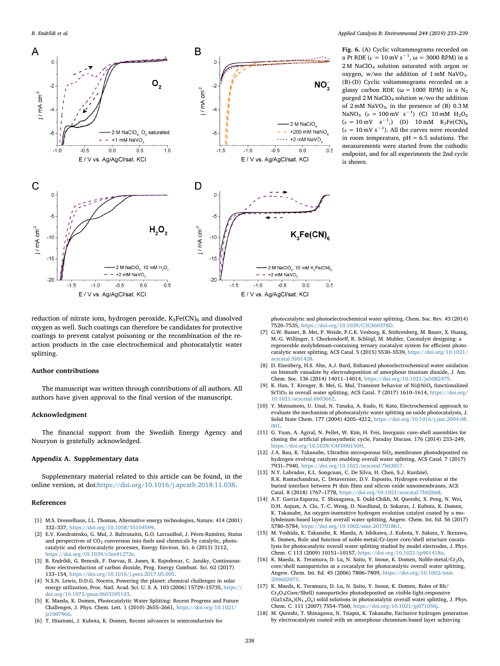<span id="page-5-15"></span>

Fig. 6. (A) Cyclic voltammograms recorded on a Pt RDE ( $\nu = 10 \text{ mV s}^{-1}$ ,  $\omega = 3000 \text{ RPM}$ ) in a 2 M NaClO<sub>4</sub> solution saturated with argon or oxygen, w/wo the addition of  $1 \text{ mM }$  NaVO<sub>3</sub>. (B)-(D) Cyclic voltammograms recorded on a glassy carbon RDE ( $\omega = 1000$  RPM) in a N<sub>2</sub> purged 2 M NaClO4 solution w/wo the addition of  $2 \text{ mM }$  NaVO<sub>3</sub>, in the presence of (B)  $0.3 \text{ M}$ NaNO<sub>3</sub> ( $\nu = 100 \text{ mV s}^{-1}$ ) (C) 10 mM H<sub>2</sub>O<sub>2</sub>  $(\nu = 10 \text{ mV s}^{-1})$  (D) 10 mM K<sub>3</sub>Fe(CN)<sub>6</sub>  $(\nu = 10 \text{ mV s}^{-1})$ . All the curves were recorded in room temperature,  $pH = 6.5$  solutions. The measurements were started from the cathodic endpoint, and for all experiments the 2nd cycle is shown.

reduction of nitrate ions, hydrogen peroxide,  $K_3Fe(CN)_6$  and dissolved oxygen as well. Such coatings can therefore be candidates for protective coatings to prevent catalyst poisoning or the recombination of the reaction products in the case electrochemical and photocatalytic water splitting.

## Author contributions

The manuscript was written through contributions of all authors. All authors have given approval to the final version of the manuscript.

## Acknowledgment

The financial support from the Swedish Energy Agency and Nouryon is gratefully acknowledged.

#### Appendix A. Supplementary data

Supplementary material related to this article can be found, in the online version, at doi:[https://doi.org/10.1016/j.apcatb.2018.11.038.](https://doi.org/10.1016/j.apcatb.2018.11.038)

#### References

- <span id="page-5-0"></span>[1] M.S. Dresselhaus, I.L. Thomas, Alternative energy technologies, Nature. 414 (2001) 332–337, [https://doi.org/10.1038/35104599.](https://doi.org/10.1038/35104599)
- <span id="page-5-1"></span>[2] E.V. Kondratenko, G. Mul, J. Baltrusaitis, G.O. Larrazábal, J. Pérez-Ramírez, Status and perspectives of  $CO<sub>2</sub>$  conversion into fuels and chemicals by catalytic, photocatalytic and electrocatalytic processes, Energy Environ. Sci. 6 (2013) 3112, [https://doi.org/10.1039/c3ee41272e.](https://doi.org/10.1039/c3ee41272e)
- <span id="page-5-2"></span>[3] B. Endrődi, G. Bencsik, F. Darvas, R. Jones, K. Rajeshwar, C. Janáky, Continuousflow electroreduction of carbon dioxide, Prog. Energy Combust. Sci. 62 (2017) 133–154, [https://doi.org/10.1016/j.pecs.2017.05.005.](https://doi.org/10.1016/j.pecs.2017.05.005)
- <span id="page-5-3"></span>[4] N.S.N. Lewis, D.D.G. Nocera, Powering the planet: chemical challenges in solar energy utilization, Proc. Natl. Acad. Sci. U. S. A. 103 (2006) 15729–15735, [https://](https://doi.org/10.1073/pnas.0603395103) [doi.org/10.1073/pnas.0603395103.](https://doi.org/10.1073/pnas.0603395103)
- <span id="page-5-4"></span>[5] K. Maeda, K. Domen, Photocatalytic Water Splitting: Recent Progress and Future Challenges, J. Phys. Chem. Lett. 1 (2010) 2655–2661, [https://doi.org/10.1021/](https://doi.org/10.1021/jz1007966) iz1007966.
- <span id="page-5-5"></span>[6] T. Hisatomi, J. Kubota, K. Domen, Recent advances in semiconductors for

photocatalytic and photoelectrochemical water splitting, Chem. Soc. Rev. 43 (2014) 7520–7535, [https://doi.org/10.1039/C3CS60378D.](https://doi.org/10.1039/C3CS60378D)

- <span id="page-5-6"></span>[7] G.W. Busser, B. Mei, P. Weide, P.C.K. Vesborg, K. Stührenberg, M. Bauer, X. Huang, M.-G. Willinger, I. Chorkendorff, R. Schlögl, M. Muhler, Cocatalyst designing: a regenerable molybdenum-containing ternary cocatalyst system for efficient photocatalytic water splitting, ACS Catal. 5 (2015) 5530–5539, [https://doi.org/10.1021/](https://doi.org/10.1021/acscatal.5b01428) cscatal.5b01428
- <span id="page-5-7"></span>[8] D. Eisenberg, H.S. Ahn, A.J. Bard, Enhanced photoelectrochemical water oxidation on bismuth vanadate by electrodeposition of amorphous titanium dioxide, J. Am. Chem. Soc. 136 (2014) 14011–14014, [https://doi.org/10.1021/ja5082475.](https://doi.org/10.1021/ja5082475)
- <span id="page-5-8"></span>[9] K. Han, T. Kreuger, B. Mei, G. Mul, Transient behavior of Ni@NiO<sub>x</sub> functionalized  $\rm SrTiO_3$  in overall water splitting, ACS Catal. 7 (2017) 1610–1614, [https://doi.org/](https://doi.org/10.1021/acscatal.6b03662) [10.1021/acscatal.6b03662.](https://doi.org/10.1021/acscatal.6b03662)
- <span id="page-5-9"></span>[10] Y. Matsumoto, U. Unal, N. Tanaka, A. Kudo, H. Kato, Electrochemical approach to evaluate the mechanism of photocatalytic water splitting on oxide photocatalysts, J. Solid State Chem. 177 (2004) 4205–4212, [https://doi.org/10.1016/j.jssc.2004.08.](https://doi.org/10.1016/j.jssc.2004.08.001) [001.](https://doi.org/10.1016/j.jssc.2004.08.001)
- <span id="page-5-10"></span>[11] G. Yuan, A. Agiral, N. Pellet, W. Kim, H. Frei, Inorganic core–shell assemblies for closing the artificial photosynthetic cycle, Faraday Discuss. 176 (2014) 233–249, [https://doi.org/10.1039/C4FD00150H.](https://doi.org/10.1039/C4FD00150H)
- [12] J.A. Bau, K. Takanabe, Ultrathin microporous SiO<sub>2</sub> membranes photodeposited on hydrogen evolving catalysts enabling overall water splitting, ACS Catal. 7 (2017) 7931–7940, [https://doi.org/10.1021/acscatal.7b03017.](https://doi.org/10.1021/acscatal.7b03017)
- <span id="page-5-11"></span>[13] N.Y. Labrador, E.L. Songcuan, C. De Silva, H. Chen, S.J. Kurdziel, R.K. Ramachandran, C. Detavernier, D.V. Esposito, Hydrogen evolution at the buried interface between Pt thin films and silicon oxide nanomembranes, ACS Catal. 8 (2018) 1767–1778, [https://doi.org/10.1021/acscatal.7b02668.](https://doi.org/10.1021/acscatal.7b02668)
- <span id="page-5-12"></span>[14] A.T. Garcia-Esparza, T. Shinagawa, S. Ould-Chikh, M. Qureshi, X. Peng, N. Wei, D.H. Anjum, A. Clo, T.-C. Weng, D. Nordlund, D. Sokaras, J. Kubota, K. Domen, K. Takanabe, An oxygen-insensitive hydrogen evolution catalyst coated by a molybdenum-based layer for overall water splitting, Angew. Chem. Int. Ed. 56 (2017) 5780–5784, [https://doi.org/10.1002/anie.201701861.](https://doi.org/10.1002/anie.201701861)
- <span id="page-5-13"></span>[15] M. Yoshida, K. Takanabe, K. Maeda, A. Ishikawa, J. Kubota, Y. Sakata, Y. Ikezawa, K. Domen, Role and function of noble-metal/Cr-layer core/shell structure cocatalysts for photocatalytic overall water splitting studied by model electrodes, J. Phys. Chem. C 113 (2009) 10151–10157, [https://doi.org/10.1021/jp901418u.](https://doi.org/10.1021/jp901418u)
- [16] K. Maeda, K. Teramura, D. Lu, N. Saito, Y. Inoue, K. Domen, Noble-metal/ $Cr_2O_3$ core/shell nanoparticles as a cocatalyst for photocatalytic overall water splitting, Angew. Chem. Int. Ed. 45 (2006) 7806–7809, [https://doi.org/10.1002/anie.](https://doi.org/10.1002/anie.200602473) [200602473.](https://doi.org/10.1002/anie.200602473)
- [17] K. Maeda, K. Teramura, D. Lu, N. Saito, Y. Inoue, K. Domen, Roles of Rh/  $Cr_2O_3(Core/Shell)$  nanoparticles photodeposited on visible-light-responsive  $(Ga1xZn_x)(N_{1-x}O_x)$  solid solutions in photocatalytic overall water splitting, J. Phys. Chem. C. 111 (2007) 7554–7560, [https://doi.org/10.1021/jp071056j.](https://doi.org/10.1021/jp071056j)
- <span id="page-5-14"></span>[18] M. Qureshi, T. Shinagawa, N. Tsiapis, K. Takanabe, Exclusive hydrogen generation by electrocatalysts coated with an amorphous chromium-based layer achieving